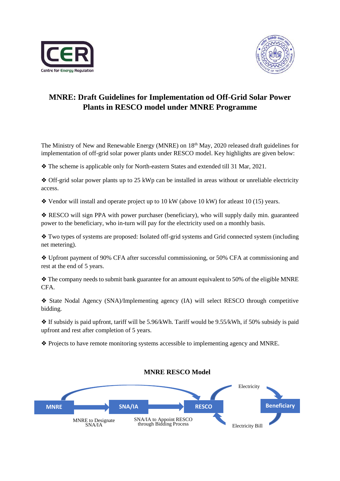



## **MNRE: Draft Guidelines for Implementation od Off-Grid Solar Power Plants in RESCO model under MNRE Programme**

The Ministry of New and Renewable Energy (MNRE) on 18th May, 2020 released draft guidelines for implementation of off-grid solar power plants under RESCO model. Key highlights are given below:

❖ The scheme is applicable only for North-eastern States and extended till 31 Mar, 2021.

❖ Off-grid solar power plants up to 25 kWp can be installed in areas without or unreliable electricity access.

❖ Vendor will install and operate project up to 10 kW (above 10 kW) for atleast 10 (15) years.

❖ RESCO will sign PPA with power purchaser (beneficiary), who will supply daily min. guaranteed power to the beneficiary, who in-turn will pay for the electricity used on a monthly basis.

❖ Two types of systems are proposed: Isolated off-grid systems and Grid connected system (including net metering).

❖ Upfront payment of 90% CFA after successful commissioning, or 50% CFA at commissioning and rest at the end of 5 years.

❖ The company needs to submit bank guarantee for an amount equivalent to 50% of the eligible MNRE CFA.

❖ State Nodal Agency (SNA)/Implementing agency (IA) will select RESCO through competitive bidding.

❖ If subsidy is paid upfront, tariff will be 5.96/kWh. Tariff would be 9.55/kWh, if 50% subsidy is paid upfront and rest after completion of 5 years.

❖ Projects to have remote monitoring systems accessible to implementing agency and MNRE.



## **MNRE RESCO Model**